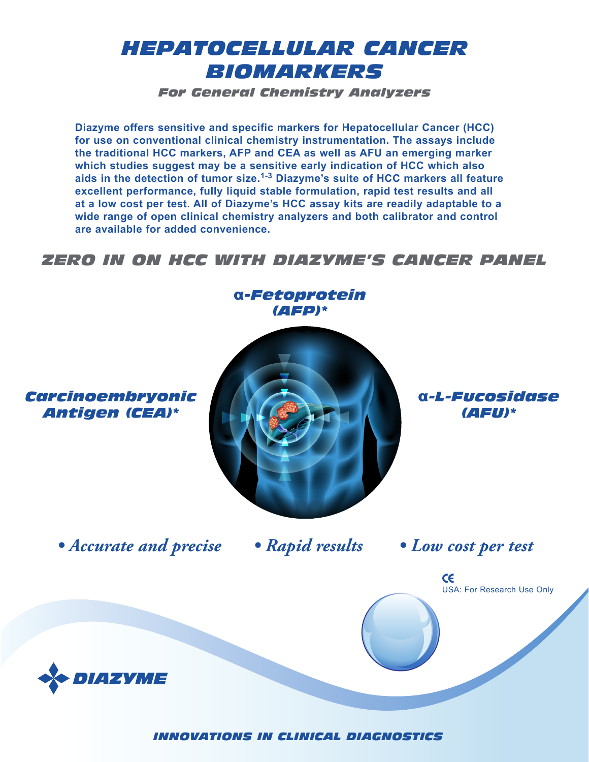# *HEPATOCELLULAR CANCER BIOMARKERS*

*For General Chemistry Analyzers*

**Diazyme offers sensitive and specific markers for Hepatocellular Cancer (HCC) for use on conventional clinical chemistry instrumentation. The assays include the traditional HCC markers, AFP and CEA as well as AFU an emerging marker which studies suggest may be a sensitive early indication of HCC which also aids in the detection of tumor size.1-3 Diazyme's suite of HCC markers all feature excellent performance, fully liquid stable formulation, rapid test results and all at a low cost per test. All of Diazyme's HCC assay kits are readily adaptable to a wide range of open clinical chemistry analyzers and both calibrator and control are available for added convenience.**

### *ZERO IN ON HCC WITH DIAZYME'S CANCER PANEL*



*INNOVATIONS IN CLINICAL DIAGNOSTICS*